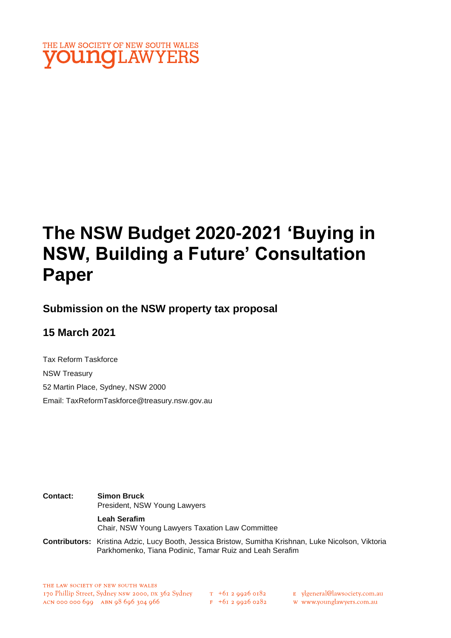

# **The NSW Budget 2020-2021 'Buying in NSW, Building a Future' Consultation Paper**

### **Submission on the NSW property tax proposal**

### **15 March 2021**

Tax Reform Taskforce NSW Treasury 52 Martin Place, Sydney, NSW 2000 Email: TaxReformTaskforce@treasury.nsw.gov.au

**Contact: Simon Bruck** President, NSW Young Lawyers **Leah Serafim** Chair, NSW Young Lawyers Taxation Law Committee

**Contributors:** Kristina Adzic, Lucy Booth, Jessica Bristow, Sumitha Krishnan, Luke Nicolson, Viktoria Parkhomenko, Tiana Podinic, Tamar Ruiz and Leah Serafim

- E ylgeneral@lawsociety.com.au
	- w www.younglawyers.com.au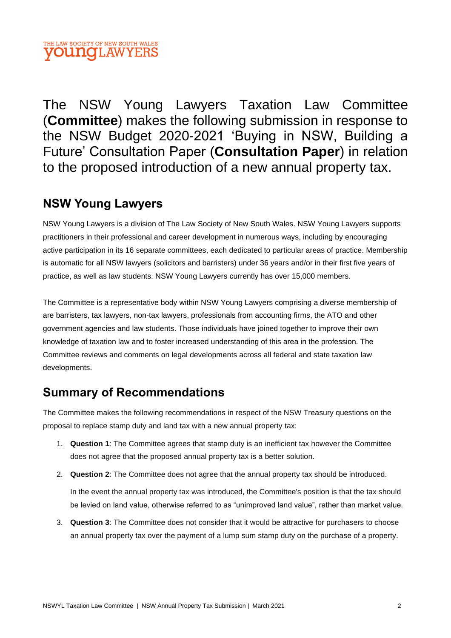The NSW Young Lawyers Taxation Law Committee (**Committee**) makes the following submission in response to the NSW Budget 2020-2021 'Buying in NSW, Building a Future' Consultation Paper (**Consultation Paper**) in relation to the proposed introduction of a new annual property tax.

# **NSW Young Lawyers**

NSW Young Lawyers is a division of The Law Society of New South Wales. NSW Young Lawyers supports practitioners in their professional and career development in numerous ways, including by encouraging active participation in its 16 separate committees, each dedicated to particular areas of practice. Membership is automatic for all NSW lawyers (solicitors and barristers) under 36 years and/or in their first five years of practice, as well as law students. NSW Young Lawyers currently has over 15,000 members.

The Committee is a representative body within NSW Young Lawyers comprising a diverse membership of are barristers, tax lawyers, non-tax lawyers, professionals from accounting firms, the ATO and other government agencies and law students. Those individuals have joined together to improve their own knowledge of taxation law and to foster increased understanding of this area in the profession. The Committee reviews and comments on legal developments across all federal and state taxation law developments.

# **Summary of Recommendations**

The Committee makes the following recommendations in respect of the NSW Treasury questions on the proposal to replace stamp duty and land tax with a new annual property tax:

- 1. **Question 1**: The Committee agrees that stamp duty is an inefficient tax however the Committee does not agree that the proposed annual property tax is a better solution.
- 2. **Question 2**: The Committee does not agree that the annual property tax should be introduced.

In the event the annual property tax was introduced, the Committee's position is that the tax should be levied on land value, otherwise referred to as "unimproved land value", rather than market value.

3. **Question 3**: The Committee does not consider that it would be attractive for purchasers to choose an annual property tax over the payment of a lump sum stamp duty on the purchase of a property.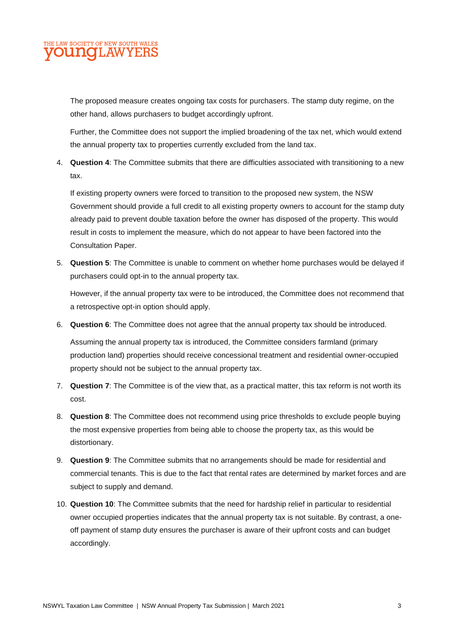The proposed measure creates ongoing tax costs for purchasers. The stamp duty regime, on the other hand, allows purchasers to budget accordingly upfront.

Further, the Committee does not support the implied broadening of the tax net, which would extend the annual property tax to properties currently excluded from the land tax.

4. **Question 4**: The Committee submits that there are difficulties associated with transitioning to a new tax.

If existing property owners were forced to transition to the proposed new system, the NSW Government should provide a full credit to all existing property owners to account for the stamp duty already paid to prevent double taxation before the owner has disposed of the property. This would result in costs to implement the measure, which do not appear to have been factored into the Consultation Paper.

5. **Question 5**: The Committee is unable to comment on whether home purchases would be delayed if purchasers could opt-in to the annual property tax.

However, if the annual property tax were to be introduced, the Committee does not recommend that a retrospective opt-in option should apply.

6. **Question 6**: The Committee does not agree that the annual property tax should be introduced.

Assuming the annual property tax is introduced, the Committee considers farmland (primary production land) properties should receive concessional treatment and residential owner-occupied property should not be subject to the annual property tax.

- 7. **Question 7**: The Committee is of the view that, as a practical matter, this tax reform is not worth its cost.
- 8. **Question 8**: The Committee does not recommend using price thresholds to exclude people buying the most expensive properties from being able to choose the property tax, as this would be distortionary.
- 9. **Question 9**: The Committee submits that no arrangements should be made for residential and commercial tenants. This is due to the fact that rental rates are determined by market forces and are subject to supply and demand.
- 10. **Question 10**: The Committee submits that the need for hardship relief in particular to residential owner occupied properties indicates that the annual property tax is not suitable. By contrast, a oneoff payment of stamp duty ensures the purchaser is aware of their upfront costs and can budget accordingly.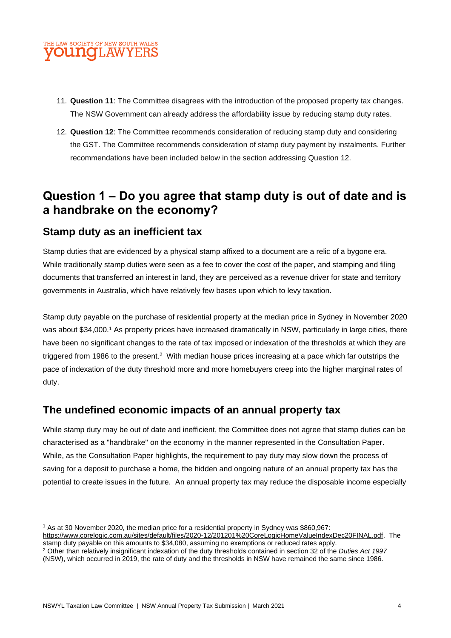

- 11. **Question 11**: The Committee disagrees with the introduction of the proposed property tax changes. The NSW Government can already address the affordability issue by reducing stamp duty rates.
- 12. **Question 12**: The Committee recommends consideration of reducing stamp duty and considering the GST. The Committee recommends consideration of stamp duty payment by instalments. Further recommendations have been included below in the section addressing Question 12.

# **Question 1 – Do you agree that stamp duty is out of date and is a handbrake on the economy?**

### **Stamp duty as an inefficient tax**

Stamp duties that are evidenced by a physical stamp affixed to a document are a relic of a bygone era. While traditionally stamp duties were seen as a fee to cover the cost of the paper, and stamping and filing documents that transferred an interest in land, they are perceived as a revenue driver for state and territory governments in Australia, which have relatively few bases upon which to levy taxation.

Stamp duty payable on the purchase of residential property at the median price in Sydney in November 2020 was about \$34,000.<sup>1</sup> As property prices have increased dramatically in NSW, particularly in large cities, there have been no significant changes to the rate of tax imposed or indexation of the thresholds at which they are triggered from 1986 to the present.<sup>2</sup> With median house prices increasing at a pace which far outstrips the pace of indexation of the duty threshold more and more homebuyers creep into the higher marginal rates of duty.

### **The undefined economic impacts of an annual property tax**

While stamp duty may be out of date and inefficient, the Committee does not agree that stamp duties can be characterised as a "handbrake" on the economy in the manner represented in the Consultation Paper. While, as the Consultation Paper highlights, the requirement to pay duty may slow down the process of saving for a deposit to purchase a home, the hidden and ongoing nature of an annual property tax has the potential to create issues in the future. An annual property tax may reduce the disposable income especially

<sup>1</sup> As at 30 November 2020, the median price for a residential property in Sydney was \$860,967:

[https://www.corelogic.com.au/sites/default/files/2020-12/201201%20CoreLogicHomeValueIndexDec20FINAL.pdf.](https://www.corelogic.com.au/sites/default/files/2020-12/201201%20CoreLogicHomeValueIndexDec20FINAL.pdf) The stamp duty payable on this amounts to \$34,080, assuming no exemptions or reduced rates apply.

<sup>2</sup> Other than relatively insignificant indexation of the duty thresholds contained in section 32 of the *Duties Act 1997*  (NSW), which occurred in 2019, the rate of duty and the thresholds in NSW have remained the same since 1986.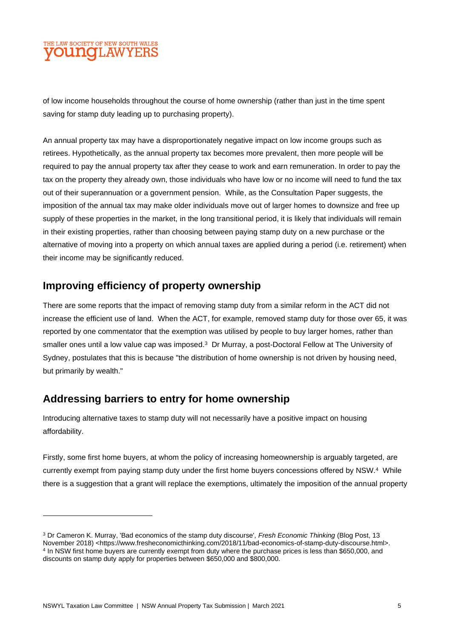of low income households throughout the course of home ownership (rather than just in the time spent saving for stamp duty leading up to purchasing property).

An annual property tax may have a disproportionately negative impact on low income groups such as retirees. Hypothetically, as the annual property tax becomes more prevalent, then more people will be required to pay the annual property tax after they cease to work and earn remuneration. In order to pay the tax on the property they already own, those individuals who have low or no income will need to fund the tax out of their superannuation or a government pension. While, as the Consultation Paper suggests, the imposition of the annual tax may make older individuals move out of larger homes to downsize and free up supply of these properties in the market, in the long transitional period, it is likely that individuals will remain in their existing properties, rather than choosing between paying stamp duty on a new purchase or the alternative of moving into a property on which annual taxes are applied during a period (i.e. retirement) when their income may be significantly reduced.

### **Improving efficiency of property ownership**

There are some reports that the impact of removing stamp duty from a similar reform in the ACT did not increase the efficient use of land. When the ACT, for example, removed stamp duty for those over 65, it was reported by one commentator that the exemption was utilised by people to buy larger homes, rather than smaller ones until a low value cap was imposed.<sup>3</sup> Dr Murray, a post-Doctoral Fellow at The University of Sydney, postulates that this is because "the distribution of home ownership is not driven by housing need, but primarily by wealth."

### **Addressing barriers to entry for home ownership**

Introducing alternative taxes to stamp duty will not necessarily have a positive impact on housing affordability.

Firstly, some first home buyers, at whom the policy of increasing homeownership is arguably targeted, are currently exempt from paying stamp duty under the first home buyers concessions offered by NSW.<sup>4</sup> While there is a suggestion that a grant will replace the exemptions, ultimately the imposition of the annual property

<sup>3</sup> Dr Cameron K. Murray, 'Bad economics of the stamp duty discourse', *Fresh Economic Thinking* (Blog Post, 13 November 2018) <https://www.fresheconomicthinking.com/2018/11/bad-economics-of-stamp-duty-discourse.html>. 4 In NSW first home buyers are currently exempt from duty where the purchase prices is less than \$650,000, and discounts on stamp duty apply for properties between \$650,000 and \$800,000.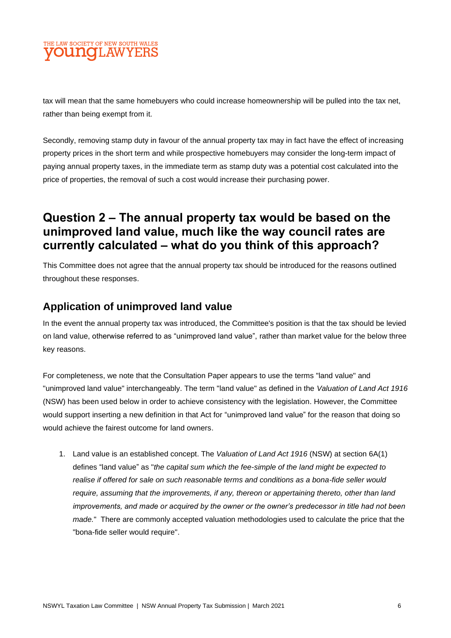tax will mean that the same homebuyers who could increase homeownership will be pulled into the tax net, rather than being exempt from it.

Secondly, removing stamp duty in favour of the annual property tax may in fact have the effect of increasing property prices in the short term and while prospective homebuyers may consider the long-term impact of paying annual property taxes, in the immediate term as stamp duty was a potential cost calculated into the price of properties, the removal of such a cost would increase their purchasing power.

# **Question 2 – The annual property tax would be based on the unimproved land value, much like the way council rates are currently calculated – what do you think of this approach?**

This Committee does not agree that the annual property tax should be introduced for the reasons outlined throughout these responses.

### **Application of unimproved land value**

In the event the annual property tax was introduced, the Committee's position is that the tax should be levied on land value, otherwise referred to as "unimproved land value", rather than market value for the below three key reasons.

For completeness, we note that the Consultation Paper appears to use the terms "land value" and "unimproved land value" interchangeably. The term "land value" as defined in the *Valuation of Land Act 1916*  (NSW) has been used below in order to achieve consistency with the legislation. However, the Committee would support inserting a new definition in that Act for "unimproved land value" for the reason that doing so would achieve the fairest outcome for land owners.

1. Land value is an established concept. The *Valuation of Land Act 1916* (NSW) at section 6A(1) defines "land value" as "*the capital sum which the fee-simple of the land might be expected to realise if offered for sale on such reasonable terms and conditions as a bona-fide seller would require, assuming that the improvements, if any, thereon or appertaining thereto, other than land improvements, and made or acquired by the owner or the owner's predecessor in title had not been made.*" There are commonly accepted valuation methodologies used to calculate the price that the "bona-fide seller would require".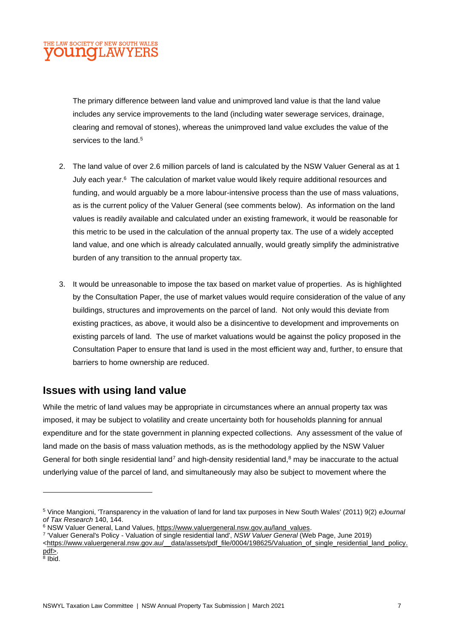The primary difference between land value and unimproved land value is that the land value includes any service improvements to the land (including water sewerage services, drainage, clearing and removal of stones), whereas the unimproved land value excludes the value of the services to the land.<sup>5</sup>

- 2. The land value of over 2.6 million parcels of land is calculated by the NSW Valuer General as at 1 July each year.<sup>6</sup> The calculation of market value would likely require additional resources and funding, and would arguably be a more labour-intensive process than the use of mass valuations, as is the current policy of the Valuer General (see comments below). As information on the land values is readily available and calculated under an existing framework, it would be reasonable for this metric to be used in the calculation of the annual property tax. The use of a widely accepted land value, and one which is already calculated annually, would greatly simplify the administrative burden of any transition to the annual property tax.
- 3. It would be unreasonable to impose the tax based on market value of properties. As is highlighted by the Consultation Paper, the use of market values would require consideration of the value of any buildings, structures and improvements on the parcel of land. Not only would this deviate from existing practices, as above, it would also be a disincentive to development and improvements on existing parcels of land. The use of market valuations would be against the policy proposed in the Consultation Paper to ensure that land is used in the most efficient way and, further, to ensure that barriers to home ownership are reduced.

### **Issues with using land value**

While the metric of land values may be appropriate in circumstances where an annual property tax was imposed, it may be subject to volatility and create uncertainty both for households planning for annual expenditure and for the state government in planning expected collections. Any assessment of the value of land made on the basis of mass valuation methods, as is the methodology applied by the NSW Valuer General for both single residential land<sup>7</sup> and high-density residential land,<sup>8</sup> may be inaccurate to the actual underlying value of the parcel of land, and simultaneously may also be subject to movement where the

<sup>5</sup> Vince Mangioni, 'Transparency in the valuation of land for land tax purposes in New South Wales' (2011) 9(2) *eJournal of Tax Research* 140, 144.

<sup>&</sup>lt;sup>6</sup> NSW Valuer General, Land Values[, https://www.valuergeneral.nsw.gov.au/land\\_values.](https://www.valuergeneral.nsw.gov.au/land_values)

<sup>7</sup> 'Valuer General's Policy - Valuation of single residential land', *NSW Valuer General* (Web Page, June 2019)

<sup>&</sup>lt;https://www.valuergeneral.nsw.gov.au/ data/assets/pdf\_file/0004/198625/Valuation\_of\_single\_residential\_land\_policy. [pdf>](https://www.valuergeneral.nsw.gov.au/__data/assets/pdf_file/0004/198625/Valuation_of_single_residential_land_policy.pdf).

<sup>&</sup>lt;sup>8</sup> Ibid.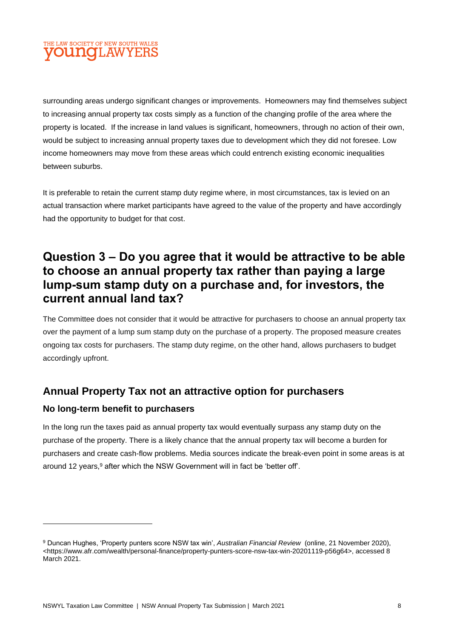surrounding areas undergo significant changes or improvements. Homeowners may find themselves subject to increasing annual property tax costs simply as a function of the changing profile of the area where the property is located. If the increase in land values is significant, homeowners, through no action of their own, would be subject to increasing annual property taxes due to development which they did not foresee. Low income homeowners may move from these areas which could entrench existing economic inequalities between suburbs.

It is preferable to retain the current stamp duty regime where, in most circumstances, tax is levied on an actual transaction where market participants have agreed to the value of the property and have accordingly had the opportunity to budget for that cost.

# **Question 3 – Do you agree that it would be attractive to be able to choose an annual property tax rather than paying a large lump-sum stamp duty on a purchase and, for investors, the current annual land tax?**

The Committee does not consider that it would be attractive for purchasers to choose an annual property tax over the payment of a lump sum stamp duty on the purchase of a property. The proposed measure creates ongoing tax costs for purchasers. The stamp duty regime, on the other hand, allows purchasers to budget accordingly upfront.

### **Annual Property Tax not an attractive option for purchasers**

#### **No long-term benefit to purchasers**

In the long run the taxes paid as annual property tax would eventually surpass any stamp duty on the purchase of the property. There is a likely chance that the annual property tax will become a burden for purchasers and create cash-flow problems. Media sources indicate the break-even point in some areas is at around 12 years,<sup>9</sup> after which the NSW Government will in fact be 'better off'.

<sup>9</sup> Duncan Hughes, 'Property punters score NSW tax win', *Australian Financial Review* (online, 21 November 2020), *<*https://www.afr.com/wealth/personal-finance/property-punters-score-nsw-tax-win-20201119-p56g64>, accessed 8 March 2021.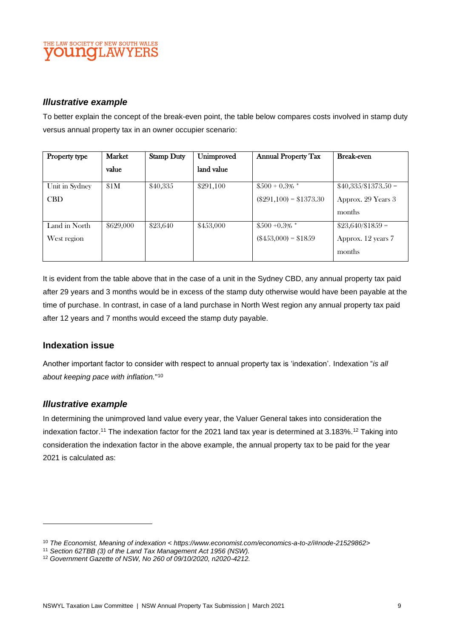#### *Illustrative example*

To better explain the concept of the break-even point, the table below compares costs involved in stamp duty versus annual property tax in an owner occupier scenario:

| Property type  | <b>Market</b> | <b>Stamp Duty</b> | Unimproved | <b>Annual Property Tax</b> | <b>Break-even</b>     |
|----------------|---------------|-------------------|------------|----------------------------|-----------------------|
|                | value         |                   | land value |                            |                       |
| Unit in Sydney | \$1M          | \$40,335          | \$291,100  | $$500 + 0.3\%$ *           | $$40,335/\$1373.50 =$ |
| <b>CBD</b>     |               |                   |            | $(\$291,100) = \$1373.30$  | Approx. 29 Years 3    |
|                |               |                   |            |                            | months                |
| Land in North  | \$629,000     | \$23,640          | \$453,000  | $$500 + 0.3\%$ *           | $$23,640/\$1859 =$    |
| West region    |               |                   |            | $(\$453,000) = \$1859$     | Approx. 12 years 7    |
|                |               |                   |            |                            | months                |

It is evident from the table above that in the case of a unit in the Sydney CBD, any annual property tax paid after 29 years and 3 months would be in excess of the stamp duty otherwise would have been payable at the time of purchase. In contrast, in case of a land purchase in North West region any annual property tax paid after 12 years and 7 months would exceed the stamp duty payable.

#### **Indexation issue**

Another important factor to consider with respect to annual property tax is 'indexation'. Indexation "*is all about keeping pace with inflation.*" 10

#### *Illustrative example*

In determining the unimproved land value every year, the Valuer General takes into consideration the indexation factor. <sup>11</sup> The indexation factor for the 2021 land tax year is determined at 3.183%. <sup>12</sup> Taking into consideration the indexation factor in the above example, the annual property tax to be paid for the year 2021 is calculated as:

<sup>10</sup> *The Economist, Meaning of indexation < https://www.economist.com/economics-a-to-z/i#node-21529862>* 

<sup>11</sup> *Section 62TBB (3) of the Land Tax Management Act 1956 (NSW).*

<sup>12</sup> *Government Gazette of NSW, No 260 of 09/10/2020, n2020-4212.*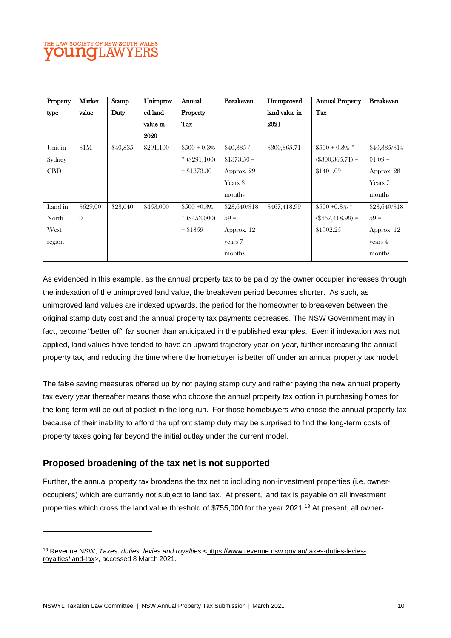| Property   | Market   | Stamp    | Unimprov  | Annual          | <b>Breakeven</b> | Unimproved    | <b>Annual Property</b> | <b>Breakeven</b> |
|------------|----------|----------|-----------|-----------------|------------------|---------------|------------------------|------------------|
| type       | value    | Duty     | ed land   | <b>Property</b> |                  | land value in | Tax                    |                  |
|            |          |          | value in  | Tax             |                  | 2021          |                        |                  |
|            |          |          | 2020      |                 |                  |               |                        |                  |
| Unit in    | \$1M     | \$40,335 | \$291,100 | $$500 + 0.3\%$  | \$40,335/        | \$300,365.71  | $$500 + 0.3\%$ *       | \$40,335/\$14    |
| Sydney     |          |          |           | $*$ (\$291,100) | $$1373.50 =$     |               | $(\$300,365.71) =$     | $01.09 =$        |
| <b>CBD</b> |          |          |           | $=$ \$1373.30   | Approx. 29       |               | \$1401.09              | Approx. 28       |
|            |          |          |           |                 | Years 3          |               |                        | Years 7          |
|            |          |          |           |                 | months           |               |                        | months           |
| Land in    | \$629,00 | \$23,640 | \$453,000 | $$500 + 0.3\%$  | \$23,640/\$18    | \$467,418.99  | $$500 + 0.3\%$ *       | \$23,640/\$18    |
| North      | $\theta$ |          |           | $*$ (\$453,000) | $.59 =$          |               | $(\$467,418.99) =$     | $.59 =$          |
| West       |          |          |           | $=$ \$1859      | Approx. 12       |               | \$1902.25              | Approx. 12       |
| region     |          |          |           |                 | years 7          |               |                        | years $4$        |
|            |          |          |           |                 | months           |               |                        | months           |

As evidenced in this example, as the annual property tax to be paid by the owner occupier increases through the indexation of the unimproved land value, the breakeven period becomes shorter. As such, as unimproved land values are indexed upwards, the period for the homeowner to breakeven between the original stamp duty cost and the annual property tax payments decreases. The NSW Government may in fact, become "better off" far sooner than anticipated in the published examples. Even if indexation was not applied, land values have tended to have an upward trajectory year-on-year, further increasing the annual property tax, and reducing the time where the homebuyer is better off under an annual property tax model.

The false saving measures offered up by not paying stamp duty and rather paying the new annual property tax every year thereafter means those who choose the annual property tax option in purchasing homes for the long-term will be out of pocket in the long run. For those homebuyers who chose the annual property tax because of their inability to afford the upfront stamp duty may be surprised to find the long-term costs of property taxes going far beyond the initial outlay under the current model.

#### **Proposed broadening of the tax net is not supported**

Further, the annual property tax broadens the tax net to including non-investment properties (i.e. owneroccupiers) which are currently not subject to land tax. At present, land tax is payable on all investment properties which cross the land value threshold of \$755,000 for the year 2021.<sup>13</sup> At present, all owner-

<sup>13</sup> Revenue NSW, *Taxes, duties, levies and royalties* [<https://www.revenue.nsw.gov.au/taxes-duties-levies](https://www.revenue.nsw.gov.au/taxes-duties-levies-royalties/land-tax)[royalties/land-tax>](https://www.revenue.nsw.gov.au/taxes-duties-levies-royalties/land-tax), accessed 8 March 2021.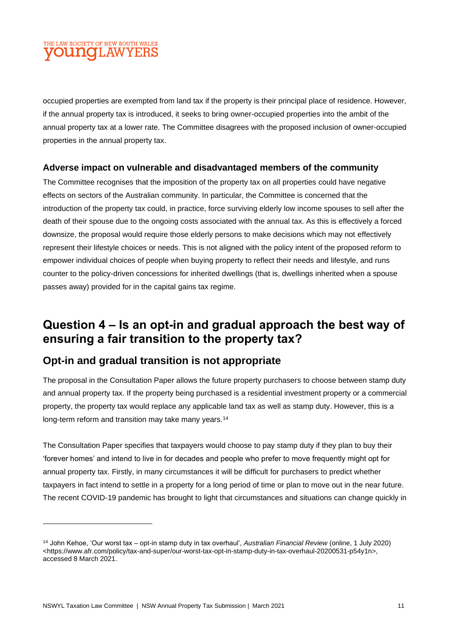occupied properties are exempted from land tax if the property is their principal place of residence. However, if the annual property tax is introduced, it seeks to bring owner-occupied properties into the ambit of the annual property tax at a lower rate. The Committee disagrees with the proposed inclusion of owner-occupied properties in the annual property tax.

#### **Adverse impact on vulnerable and disadvantaged members of the community**

The Committee recognises that the imposition of the property tax on all properties could have negative effects on sectors of the Australian community. In particular, the Committee is concerned that the introduction of the property tax could, in practice, force surviving elderly low income spouses to sell after the death of their spouse due to the ongoing costs associated with the annual tax. As this is effectively a forced downsize, the proposal would require those elderly persons to make decisions which may not effectively represent their lifestyle choices or needs. This is not aligned with the policy intent of the proposed reform to empower individual choices of people when buying property to reflect their needs and lifestyle, and runs counter to the policy-driven concessions for inherited dwellings (that is, dwellings inherited when a spouse passes away) provided for in the capital gains tax regime.

### **Question 4 – Is an opt-in and gradual approach the best way of ensuring a fair transition to the property tax?**

### **Opt-in and gradual transition is not appropriate**

The proposal in the Consultation Paper allows the future property purchasers to choose between stamp duty and annual property tax. If the property being purchased is a residential investment property or a commercial property, the property tax would replace any applicable land tax as well as stamp duty. However, this is a long-term reform and transition may take many years.<sup>14</sup>

The Consultation Paper specifies that taxpayers would choose to pay stamp duty if they plan to buy their 'forever homes' and intend to live in for decades and people who prefer to move frequently might opt for annual property tax. Firstly, in many circumstances it will be difficult for purchasers to predict whether taxpayers in fact intend to settle in a property for a long period of time or plan to move out in the near future. The recent COVID-19 pandemic has brought to light that circumstances and situations can change quickly in

<sup>14</sup> John Kehoe, 'Our worst tax – opt-in stamp duty in tax overhaul', *Australian Financial Review* (online, 1 July 2020) <https://www.afr.com/policy/tax-and-super/our-worst-tax-opt-in-stamp-duty-in-tax-overhaul-20200531-p54y1n>, accessed 8 March 2021.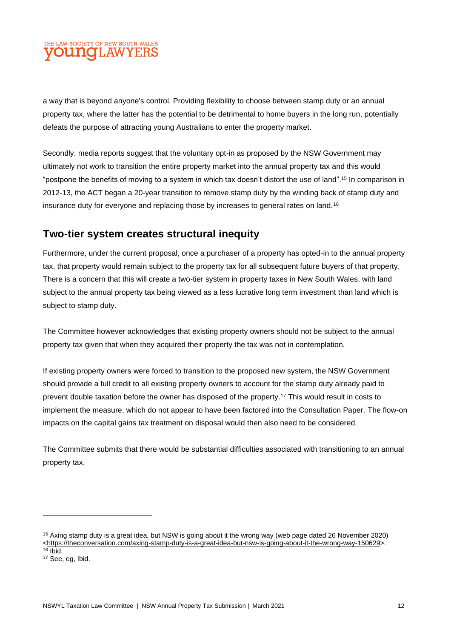a way that is beyond anyone's control. Providing flexibility to choose between stamp duty or an annual property tax, where the latter has the potential to be detrimental to home buyers in the long run, potentially defeats the purpose of attracting young Australians to enter the property market.

Secondly, media reports suggest that the voluntary opt-in as proposed by the NSW Government may ultimately not work to transition the entire property market into the annual property tax and this would "postpone the benefits of moving to a system in which tax doesn't distort the use of land". <sup>15</sup> In comparison in 2012-13, the ACT began a 20-year transition to remove stamp duty by the winding back of stamp duty and insurance duty for everyone and replacing those by increases to general rates on land.<sup>16</sup>

### **Two-tier system creates structural inequity**

Furthermore, under the current proposal, once a purchaser of a property has opted-in to the annual property tax, that property would remain subject to the property tax for all subsequent future buyers of that property. There is a concern that this will create a two-tier system in property taxes in New South Wales, with land subject to the annual property tax being viewed as a less lucrative long term investment than land which is subject to stamp duty.

The Committee however acknowledges that existing property owners should not be subject to the annual property tax given that when they acquired their property the tax was not in contemplation.

If existing property owners were forced to transition to the proposed new system, the NSW Government should provide a full credit to all existing property owners to account for the stamp duty already paid to prevent double taxation before the owner has disposed of the property.<sup>17</sup> This would result in costs to implement the measure, which do not appear to have been factored into the Consultation Paper. The flow-on impacts on the capital gains tax treatment on disposal would then also need to be considered.

The Committee submits that there would be substantial difficulties associated with transitioning to an annual property tax.

<sup>15</sup> Axing stamp duty is a great idea, but NSW is going about it the wrong way (web page dated 26 November 2020) <https://theconversation.com/axing-stamp-duty-is-a-great-idea-but-nsw-is-going-about-it-the-wrong-way-150629>.  $16$  Ibid.

<sup>&</sup>lt;sup>17</sup> See, eg, Ibid.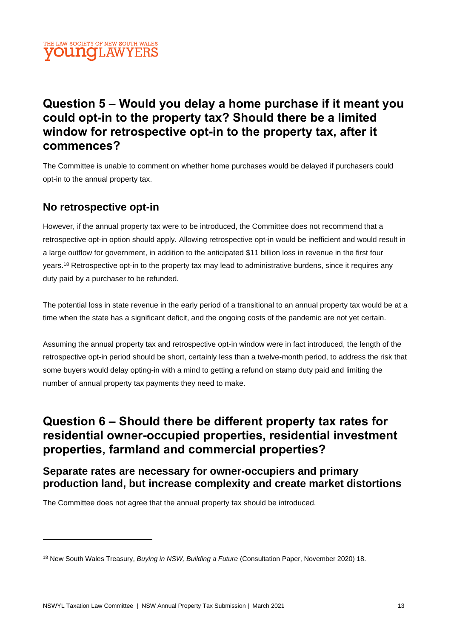# **Question 5 – Would you delay a home purchase if it meant you could opt-in to the property tax? Should there be a limited window for retrospective opt-in to the property tax, after it commences?**

The Committee is unable to comment on whether home purchases would be delayed if purchasers could opt-in to the annual property tax.

### **No retrospective opt-in**

However, if the annual property tax were to be introduced, the Committee does not recommend that a retrospective opt-in option should apply. Allowing retrospective opt-in would be inefficient and would result in a large outflow for government, in addition to the anticipated \$11 billion loss in revenue in the first four years.<sup>18</sup> Retrospective opt-in to the property tax may lead to administrative burdens, since it requires any duty paid by a purchaser to be refunded.

The potential loss in state revenue in the early period of a transitional to an annual property tax would be at a time when the state has a significant deficit, and the ongoing costs of the pandemic are not yet certain.

Assuming the annual property tax and retrospective opt-in window were in fact introduced, the length of the retrospective opt-in period should be short, certainly less than a twelve-month period, to address the risk that some buyers would delay opting-in with a mind to getting a refund on stamp duty paid and limiting the number of annual property tax payments they need to make.

# **Question 6 – Should there be different property tax rates for residential owner-occupied properties, residential investment properties, farmland and commercial properties?**

**Separate rates are necessary for owner-occupiers and primary production land, but increase complexity and create market distortions**

The Committee does not agree that the annual property tax should be introduced.

<sup>18</sup> New South Wales Treasury, *Buying in NSW, Building a Future* (Consultation Paper, November 2020) 18.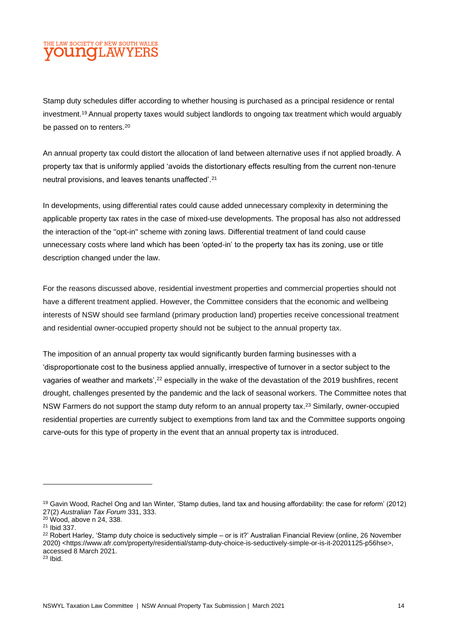Stamp duty schedules differ according to whether housing is purchased as a principal residence or rental investment.<sup>19</sup> Annual property taxes would subject landlords to ongoing tax treatment which would arguably be passed on to renters.<sup>20</sup>

An annual property tax could distort the allocation of land between alternative uses if not applied broadly. A property tax that is uniformly applied 'avoids the distortionary effects resulting from the current non-tenure neutral provisions, and leaves tenants unaffected'.<sup>21</sup>

In developments, using differential rates could cause added unnecessary complexity in determining the applicable property tax rates in the case of mixed-use developments. The proposal has also not addressed the interaction of the "opt-in" scheme with zoning laws. Differential treatment of land could cause unnecessary costs where land which has been 'opted-in' to the property tax has its zoning, use or title description changed under the law.

For the reasons discussed above, residential investment properties and commercial properties should not have a different treatment applied. However, the Committee considers that the economic and wellbeing interests of NSW should see farmland (primary production land) properties receive concessional treatment and residential owner-occupied property should not be subject to the annual property tax.

The imposition of an annual property tax would significantly burden farming businesses with a 'disproportionate cost to the business applied annually, irrespective of turnover in a sector subject to the vagaries of weather and markets',<sup>22</sup> especially in the wake of the devastation of the 2019 bushfires, recent drought, challenges presented by the pandemic and the lack of seasonal workers. The Committee notes that NSW Farmers do not support the stamp duty reform to an annual property tax.<sup>23</sup> Similarly, owner-occupied residential properties are currently subject to exemptions from land tax and the Committee supports ongoing carve-outs for this type of property in the event that an annual property tax is introduced.

<sup>19</sup> Gavin Wood, Rachel Ong and Ian Winter, 'Stamp duties, land tax and housing affordability: the case for reform' (2012) 27(2) *Australian Tax Forum* 331, 333.

<sup>20</sup> Wood, above n 24, 338.

<sup>21</sup> Ibid 337.

<sup>&</sup>lt;sup>22</sup> Robert Harley, 'Stamp duty choice is seductively simple – or is it?' Australian Financial Review (online, 26 November 2020) <https://www.afr.com/property/residential/stamp-duty-choice-is-seductively-simple-or-is-it-20201125-p56hse>, accessed 8 March 2021.

<sup>23</sup> Ibid.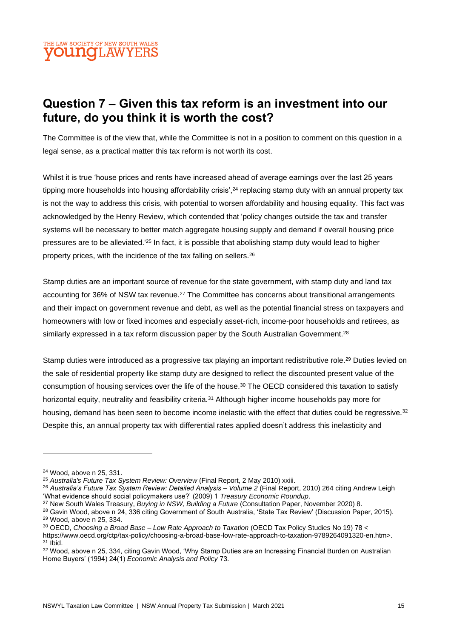

# **Question 7 – Given this tax reform is an investment into our future, do you think it is worth the cost?**

The Committee is of the view that, while the Committee is not in a position to comment on this question in a legal sense, as a practical matter this tax reform is not worth its cost.

Whilst it is true 'house prices and rents have increased ahead of average earnings over the last 25 years tipping more households into housing affordability crisis',<sup>24</sup> replacing stamp duty with an annual property tax is not the way to address this crisis, with potential to worsen affordability and housing equality. This fact was acknowledged by the Henry Review, which contended that 'policy changes outside the tax and transfer systems will be necessary to better match aggregate housing supply and demand if overall housing price pressures are to be alleviated.'<sup>25</sup> In fact, it is possible that abolishing stamp duty would lead to higher property prices, with the incidence of the tax falling on sellers.<sup>26</sup>

Stamp duties are an important source of revenue for the state government, with stamp duty and land tax accounting for 36% of NSW tax revenue.<sup>27</sup> The Committee has concerns about transitional arrangements and their impact on government revenue and debt, as well as the potential financial stress on taxpayers and homeowners with low or fixed incomes and especially asset-rich, income-poor households and retirees, as similarly expressed in a tax reform discussion paper by the South Australian Government.<sup>28</sup>

Stamp duties were introduced as a progressive tax playing an important redistributive role.<sup>29</sup> Duties levied on the sale of residential property like stamp duty are designed to reflect the discounted present value of the consumption of housing services over the life of the house.<sup>30</sup> The OECD considered this taxation to satisfy horizontal equity, neutrality and feasibility criteria.<sup>31</sup> Although higher income households pay more for housing, demand has been seen to become income inelastic with the effect that duties could be regressive.<sup>32</sup> Despite this, an annual property tax with differential rates applied doesn't address this inelasticity and

<sup>24</sup> Wood, above n 25, 331.

<sup>25</sup> *Australia's Future Tax System Review: Overview* (Final Report, 2 May 2010) xxiii.

<sup>26</sup> *Australia's Future Tax System Review: Detailed Analysis – Volume 2* (Final Report, 2010) 264 citing Andrew Leigh 'What evidence should social policymakers use?' (2009) 1 *Treasury Economic Roundup*.

<sup>27</sup> New South Wales Treasury, *Buying in NSW, Building a Future* (Consultation Paper, November 2020) 8.

<sup>&</sup>lt;sup>28</sup> Gavin Wood, above n 24, 336 citing Government of South Australia, 'State Tax Review' (Discussion Paper, 2015). <sup>29</sup> Wood, above n 25, 334.

<sup>30</sup> OECD, *Choosing a Broad Base – Low Rate Approach to Taxation* (OECD Tax Policy Studies No 19) 78 <

https://www.oecd.org/ctp/tax-policy/choosing-a-broad-base-low-rate-approach-to-taxation-9789264091320-en.htm>. <sup>31</sup> Ibid.

<sup>32</sup> Wood, above n 25, 334, citing Gavin Wood, 'Why Stamp Duties are an Increasing Financial Burden on Australian Home Buyers' (1994) 24(1) *Economic Analysis and Policy* 73.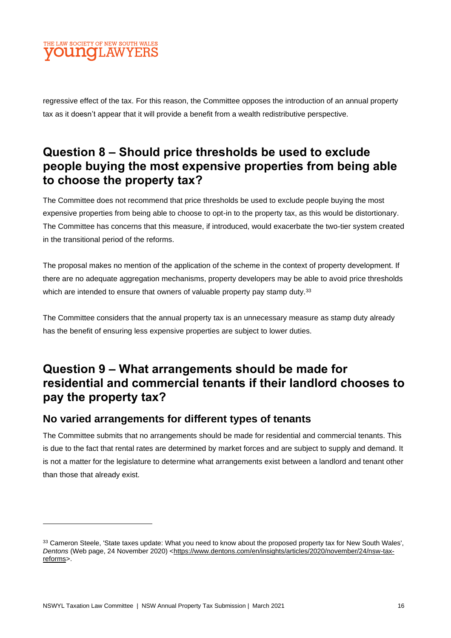

regressive effect of the tax. For this reason, the Committee opposes the introduction of an annual property tax as it doesn't appear that it will provide a benefit from a wealth redistributive perspective.

# **Question 8 – Should price thresholds be used to exclude people buying the most expensive properties from being able to choose the property tax?**

The Committee does not recommend that price thresholds be used to exclude people buying the most expensive properties from being able to choose to opt-in to the property tax, as this would be distortionary. The Committee has concerns that this measure, if introduced, would exacerbate the two-tier system created in the transitional period of the reforms.

The proposal makes no mention of the application of the scheme in the context of property development. If there are no adequate aggregation mechanisms, property developers may be able to avoid price thresholds which are intended to ensure that owners of valuable property pay stamp duty.<sup>33</sup>

The Committee considers that the annual property tax is an unnecessary measure as stamp duty already has the benefit of ensuring less expensive properties are subject to lower duties.

# **Question 9 – What arrangements should be made for residential and commercial tenants if their landlord chooses to pay the property tax?**

### **No varied arrangements for different types of tenants**

The Committee submits that no arrangements should be made for residential and commercial tenants. This is due to the fact that rental rates are determined by market forces and are subject to supply and demand. It is not a matter for the legislature to determine what arrangements exist between a landlord and tenant other than those that already exist.

<sup>33</sup> Cameron Steele, 'State taxes update: What you need to know about the proposed property tax for New South Wales', Dentons (Web page, 24 November 2020) [<https://www.dentons.com/en/insights/articles/2020/november/24/nsw-tax](https://www.dentons.com/en/insights/articles/2020/november/24/nsw-tax-reforms)[reforms>](https://www.dentons.com/en/insights/articles/2020/november/24/nsw-tax-reforms).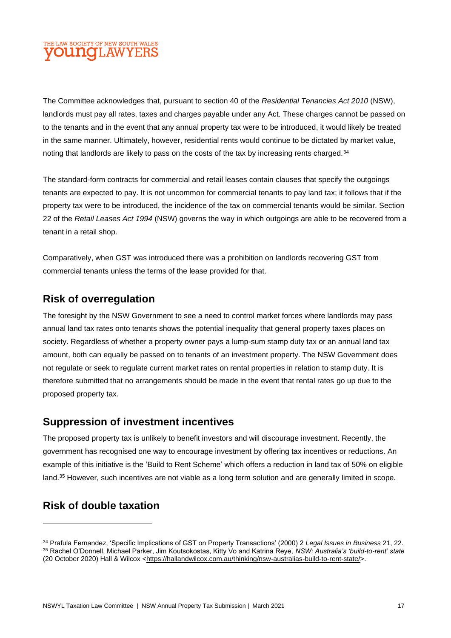The Committee acknowledges that, pursuant to section 40 of the *Residential Tenancies Act 2010* (NSW), landlords must pay all rates, taxes and charges payable under any Act. These charges cannot be passed on to the tenants and in the event that any annual property tax were to be introduced, it would likely be treated in the same manner. Ultimately, however, residential rents would continue to be dictated by market value, noting that landlords are likely to pass on the costs of the tax by increasing rents charged.<sup>34</sup>

The standard-form contracts for commercial and retail leases contain clauses that specify the outgoings tenants are expected to pay. It is not uncommon for commercial tenants to pay land tax; it follows that if the property tax were to be introduced, the incidence of the tax on commercial tenants would be similar. Section 22 of the *Retail Leases Act 1994* (NSW) governs the way in which outgoings are able to be recovered from a tenant in a retail shop.

Comparatively, when GST was introduced there was a prohibition on landlords recovering GST from commercial tenants unless the terms of the lease provided for that.

### **Risk of overregulation**

The foresight by the NSW Government to see a need to control market forces where landlords may pass annual land tax rates onto tenants shows the potential inequality that general property taxes places on society. Regardless of whether a property owner pays a lump-sum stamp duty tax or an annual land tax amount, both can equally be passed on to tenants of an investment property. The NSW Government does not regulate or seek to regulate current market rates on rental properties in relation to stamp duty. It is therefore submitted that no arrangements should be made in the event that rental rates go up due to the proposed property tax.

### **Suppression of investment incentives**

The proposed property tax is unlikely to benefit investors and will discourage investment. Recently, the government has recognised one way to encourage investment by offering tax incentives or reductions. An example of this initiative is the 'Build to Rent Scheme' which offers a reduction in land tax of 50% on eligible land.<sup>35</sup> However, such incentives are not viable as a long term solution and are generally limited in scope.

### **Risk of double taxation**

<sup>34</sup> Prafula Fernandez, 'Specific Implications of GST on Property Transactions' (2000) 2 *Legal Issues in Business* 21, 22. <sup>35</sup> Rachel O'Donnell, Michael Parker, Jim Koutsokostas, Kitty Vo and Katrina Reye, *NSW: Australia's 'build-to-rent' state* (20 October 2020) Hall & Wilcox [<https://hallandwilcox.com.au/thinking/nsw-australias-build-to-rent-state/>](https://hallandwilcox.com.au/thinking/nsw-australias-build-to-rent-state/).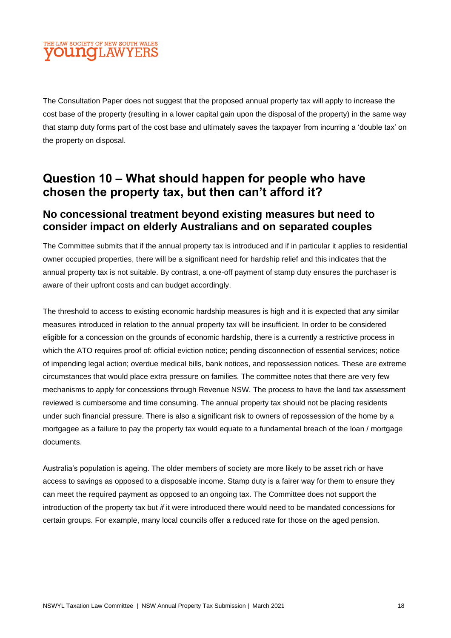The Consultation Paper does not suggest that the proposed annual property tax will apply to increase the cost base of the property (resulting in a lower capital gain upon the disposal of the property) in the same way that stamp duty forms part of the cost base and ultimately saves the taxpayer from incurring a 'double tax' on the property on disposal.

# **Question 10 – What should happen for people who have chosen the property tax, but then can't afford it?**

### **No concessional treatment beyond existing measures but need to consider impact on elderly Australians and on separated couples**

The Committee submits that if the annual property tax is introduced and if in particular it applies to residential owner occupied properties, there will be a significant need for hardship relief and this indicates that the annual property tax is not suitable. By contrast, a one-off payment of stamp duty ensures the purchaser is aware of their upfront costs and can budget accordingly.

The threshold to access to existing economic hardship measures is high and it is expected that any similar measures introduced in relation to the annual property tax will be insufficient. In order to be considered eligible for a concession on the grounds of economic hardship, there is a currently a restrictive process in which the ATO requires proof of: official eviction notice; pending disconnection of essential services; notice of impending legal action; overdue medical bills, bank notices, and repossession notices. These are extreme circumstances that would place extra pressure on families. The committee notes that there are very few mechanisms to apply for concessions through Revenue NSW. The process to have the land tax assessment reviewed is cumbersome and time consuming. The annual property tax should not be placing residents under such financial pressure. There is also a significant risk to owners of repossession of the home by a mortgagee as a failure to pay the property tax would equate to a fundamental breach of the loan / mortgage documents.

Australia's population is ageing. The older members of society are more likely to be asset rich or have access to savings as opposed to a disposable income. Stamp duty is a fairer way for them to ensure they can meet the required payment as opposed to an ongoing tax. The Committee does not support the introduction of the property tax but *if* it were introduced there would need to be mandated concessions for certain groups. For example, many local councils offer a reduced rate for those on the aged pension.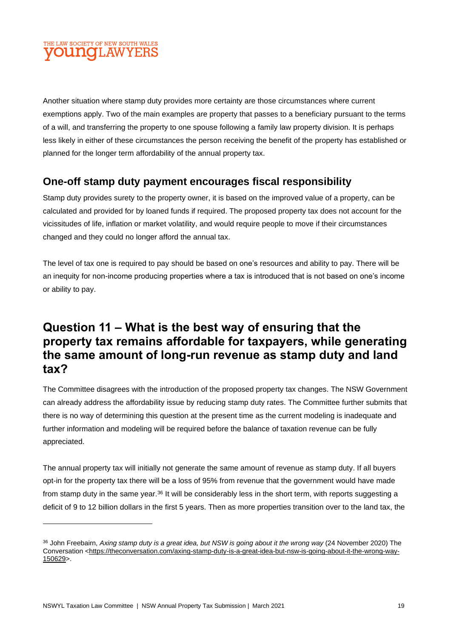Another situation where stamp duty provides more certainty are those circumstances where current exemptions apply. Two of the main examples are property that passes to a beneficiary pursuant to the terms of a will, and transferring the property to one spouse following a family law property division. It is perhaps less likely in either of these circumstances the person receiving the benefit of the property has established or planned for the longer term affordability of the annual property tax.

### **One-off stamp duty payment encourages fiscal responsibility**

Stamp duty provides surety to the property owner, it is based on the improved value of a property, can be calculated and provided for by loaned funds if required. The proposed property tax does not account for the vicissitudes of life, inflation or market volatility, and would require people to move if their circumstances changed and they could no longer afford the annual tax.

The level of tax one is required to pay should be based on one's resources and ability to pay. There will be an inequity for non-income producing properties where a tax is introduced that is not based on one's income or ability to pay.

# **Question 11 – What is the best way of ensuring that the property tax remains affordable for taxpayers, while generating the same amount of long-run revenue as stamp duty and land tax?**

The Committee disagrees with the introduction of the proposed property tax changes. The NSW Government can already address the affordability issue by reducing stamp duty rates. The Committee further submits that there is no way of determining this question at the present time as the current modeling is inadequate and further information and modeling will be required before the balance of taxation revenue can be fully appreciated.

The annual property tax will initially not generate the same amount of revenue as stamp duty. If all buyers opt-in for the property tax there will be a loss of 95% from revenue that the government would have made from stamp duty in the same year.<sup>36</sup> It will be considerably less in the short term, with reports suggesting a deficit of 9 to 12 billion dollars in the first 5 years. Then as more properties transition over to the land tax, the

<sup>36</sup> John Freebairn, *Axing stamp duty is a great idea, but NSW is going about it the wrong way* (24 November 2020) The Conversation [<https://theconversation.com/axing-stamp-duty-is-a-great-idea-but-nsw-is-going-about-it-the-wrong-way-](https://theconversation.com/axing-stamp-duty-is-a-great-idea-but-nsw-is-going-about-it-the-wrong-way-150629)[150629>](https://theconversation.com/axing-stamp-duty-is-a-great-idea-but-nsw-is-going-about-it-the-wrong-way-150629).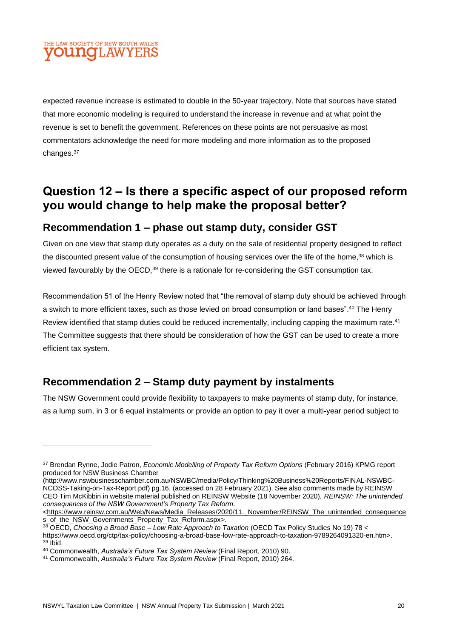expected revenue increase is estimated to double in the 50-year trajectory. Note that sources have stated that more economic modeling is required to understand the increase in revenue and at what point the revenue is set to benefit the government. References on these points are not persuasive as most commentators acknowledge the need for more modeling and more information as to the proposed changes.<sup>37</sup>

### **Question 12 – Is there a specific aspect of our proposed reform you would change to help make the proposal better?**

### **Recommendation 1 – phase out stamp duty, consider GST**

Given on one view that stamp duty operates as a duty on the sale of residential property designed to reflect the discounted present value of the consumption of housing services over the life of the home, <sup>38</sup> which is viewed favourably by the OECD,<sup>39</sup> there is a rationale for re-considering the GST consumption tax.

Recommendation 51 of the Henry Review noted that "the removal of stamp duty should be achieved through a switch to more efficient taxes, such as those levied on broad consumption or land bases". <sup>40</sup> The Henry Review identified that stamp duties could be reduced incrementally, including capping the maximum rate.<sup>41</sup> The Committee suggests that there should be consideration of how the GST can be used to create a more efficient tax system.

### **Recommendation 2 – Stamp duty payment by instalments**

The NSW Government could provide flexibility to taxpayers to make payments of stamp duty, for instance, as a lump sum, in 3 or 6 equal instalments or provide an option to pay it over a multi-year period subject to

<sup>37</sup> Brendan Rynne, Jodie Patron, *Economic Modelling of Property Tax Reform Options* (February 2016) KPMG report produced for NSW Business Chamber

<sup>(</sup>http://www.nswbusinesschamber.com.au/NSWBC/media/Policy/Thinking%20Business%20Reports/FINAL-NSWBC-NCOSS-Taking-on-Tax-Report.pdf) pg.16. (accessed on 28 February 2021). See also comments made by REINSW CEO Tim McKibbin in website material published on REINSW Website (18 November 2020), *REINSW: The unintended consequences of the NSW Government's Property Tax Reform*.

<sup>&</sup>lt;https://www.reinsw.com.au/Web/News/Media\_Releases/2020/11. November/REINSW\_The\_unintended\_consequence [s\\_of\\_the\\_NSW\\_Governments\\_Property\\_Tax\\_Reform.aspx>](https://www.reinsw.com.au/Web/News/Media_Releases/2020/11._November/REINSW_The_unintended_consequences_of_the_NSW_Governments_Property_Tax_Reform.aspx).

<sup>38</sup> OECD, *Choosing a Broad Base – Low Rate Approach to Taxation* (OECD Tax Policy Studies No 19) 78 <

https://www.oecd.org/ctp/tax-policy/choosing-a-broad-base-low-rate-approach-to-taxation-9789264091320-en.htm>. <sup>39</sup> Ibid.

<sup>40</sup> Commonwealth, *Australia's Future Tax System Review* (Final Report, 2010) 90.

<sup>41</sup> Commonwealth, *Australia's Future Tax System Review* (Final Report, 2010) 264.